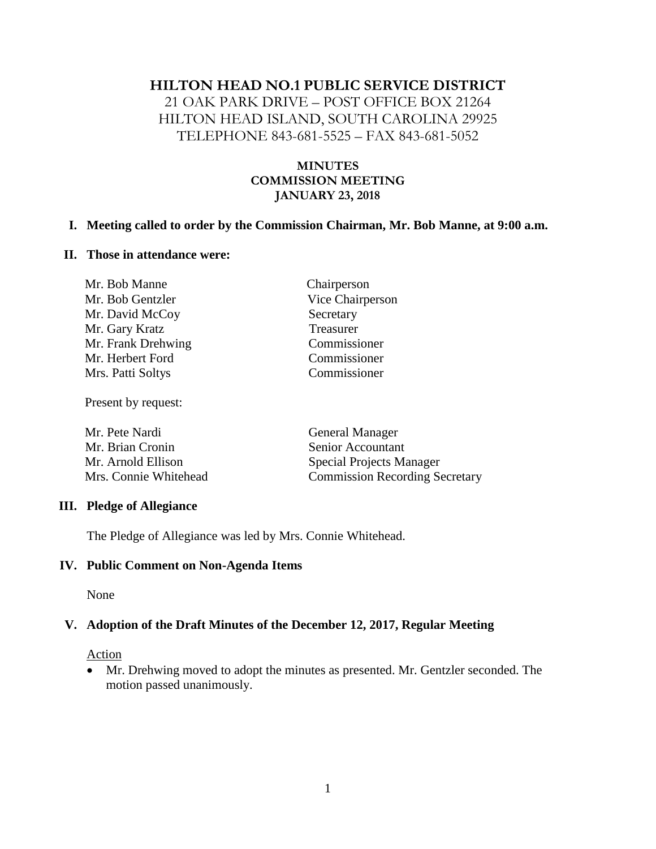### **HILTON HEAD NO.1 PUBLIC SERVICE DISTRICT**

21 OAK PARK DRIVE – POST OFFICE BOX 21264 HILTON HEAD ISLAND, SOUTH CAROLINA 29925 TELEPHONE 843-681-5525 – FAX 843-681-5052

## **MINUTES COMMISSION MEETING JANUARY 23, 2018**

### **I. Meeting called to order by the Commission Chairman, Mr. Bob Manne, at 9:00 a.m.**

#### **II. Those in attendance were:**

| Mr. Bob Manne      | Chairperson      |
|--------------------|------------------|
| Mr. Bob Gentzler   | Vice Chairperson |
| Mr. David McCoy    | Secretary        |
| Mr. Gary Kratz     | Treasurer        |
| Mr. Frank Drehwing | Commissioner     |
| Mr. Herbert Ford   | Commissioner     |
| Mrs. Patti Soltys  | Commissioner     |
|                    |                  |

Present by request:

| Mr. Pete Nardi        | <b>General Manager</b>                |  |
|-----------------------|---------------------------------------|--|
| Mr. Brian Cronin      | Senior Accountant                     |  |
| Mr. Arnold Ellison    | <b>Special Projects Manager</b>       |  |
| Mrs. Connie Whitehead | <b>Commission Recording Secretary</b> |  |

### **III. Pledge of Allegiance**

The Pledge of Allegiance was led by Mrs. Connie Whitehead.

### **IV. Public Comment on Non-Agenda Items**

None

### **V. Adoption of the Draft Minutes of the December 12, 2017, Regular Meeting**

#### **Action**

• Mr. Drehwing moved to adopt the minutes as presented. Mr. Gentzler seconded. The motion passed unanimously.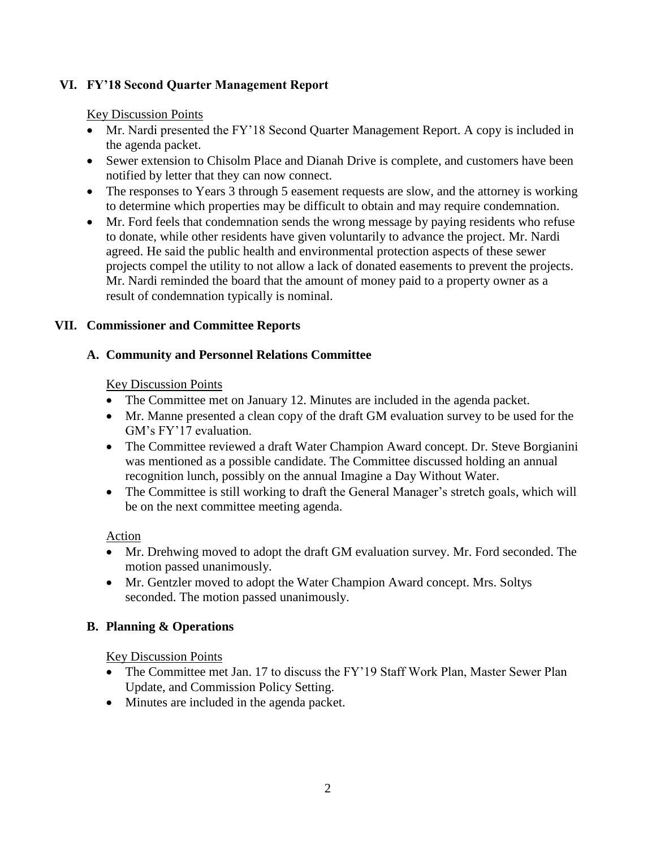# **VI. FY'18 Second Quarter Management Report**

Key Discussion Points

- Mr. Nardi presented the FY'18 Second Quarter Management Report. A copy is included in the agenda packet.
- Sewer extension to Chisolm Place and Dianah Drive is complete, and customers have been notified by letter that they can now connect.
- The responses to Years 3 through 5 easement requests are slow, and the attorney is working to determine which properties may be difficult to obtain and may require condemnation.
- Mr. Ford feels that condemnation sends the wrong message by paying residents who refuse to donate, while other residents have given voluntarily to advance the project. Mr. Nardi agreed. He said the public health and environmental protection aspects of these sewer projects compel the utility to not allow a lack of donated easements to prevent the projects. Mr. Nardi reminded the board that the amount of money paid to a property owner as a result of condemnation typically is nominal.

## **VII. Commissioner and Committee Reports**

# **A. Community and Personnel Relations Committee**

Key Discussion Points

- The Committee met on January 12. Minutes are included in the agenda packet.
- Mr. Manne presented a clean copy of the draft GM evaluation survey to be used for the GM's FY'17 evaluation.
- The Committee reviewed a draft Water Champion Award concept. Dr. Steve Borgianini was mentioned as a possible candidate. The Committee discussed holding an annual recognition lunch, possibly on the annual Imagine a Day Without Water.
- The Committee is still working to draft the General Manager's stretch goals, which will be on the next committee meeting agenda.

Action

- Mr. Drehwing moved to adopt the draft GM evaluation survey. Mr. Ford seconded. The motion passed unanimously.
- Mr. Gentzler moved to adopt the Water Champion Award concept. Mrs. Soltys seconded. The motion passed unanimously.

# **B. Planning & Operations**

Key Discussion Points

- The Committee met Jan. 17 to discuss the FY'19 Staff Work Plan, Master Sewer Plan Update, and Commission Policy Setting.
- Minutes are included in the agenda packet.